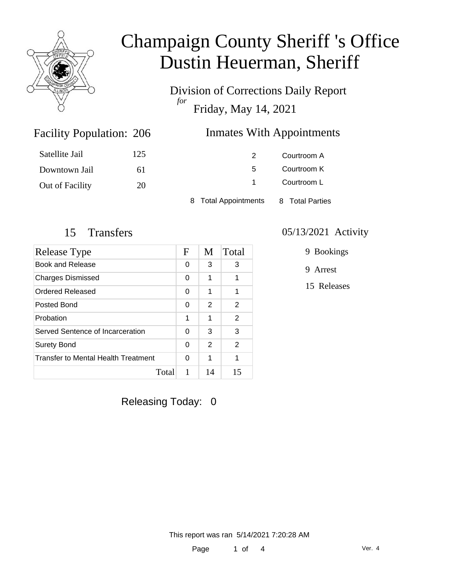

Division of Corrections Daily Report *for* Friday, May 14, 2021

### Inmates With Appointments

| Satellite Jail  | 125 |                      | Courtroom A     |
|-----------------|-----|----------------------|-----------------|
| Downtown Jail   | 6 I | 5                    | Courtroom K     |
| Out of Facility | 20  |                      | Courtroom L     |
|                 |     | 8 Total Appointments | 8 Total Parties |

Facility Population: 206

| Release Type                        | F | M  | Total          |
|-------------------------------------|---|----|----------------|
| Book and Release                    | 0 | 3  | 3              |
| <b>Charges Dismissed</b>            | 0 | 1  | 1              |
| <b>Ordered Released</b>             | 0 | 1  | 1              |
| Posted Bond                         | 0 | 2  | $\mathcal{P}$  |
| Probation                           | 1 | 1  | $\overline{2}$ |
| Served Sentence of Incarceration    | 0 | 3  | 3              |
| <b>Surety Bond</b>                  |   | 2  | 2              |
| Transfer to Mental Health Treatment | 0 | 1  | 1              |
| Total                               | 1 | 14 | 15             |

### 15 Transfers 05/13/2021 Activity

9 Bookings

9 Arrest

15 Releases

Releasing Today: 0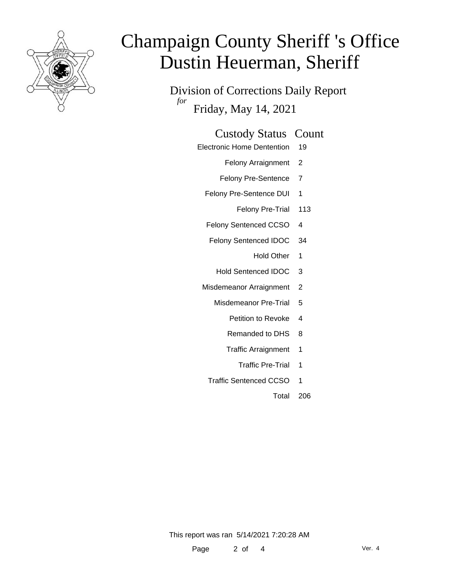

Division of Corrections Daily Report *for* Friday, May 14, 2021

#### Custody Status Count

- Electronic Home Dentention 19
	- Felony Arraignment 2
	- Felony Pre-Sentence 7
	- Felony Pre-Sentence DUI 1
		- Felony Pre-Trial 113
	- Felony Sentenced CCSO 4
	- Felony Sentenced IDOC 34
		- Hold Other 1
		- Hold Sentenced IDOC 3
	- Misdemeanor Arraignment 2
		- Misdemeanor Pre-Trial 5
			- Petition to Revoke 4
			- Remanded to DHS 8
			- Traffic Arraignment 1
				- Traffic Pre-Trial 1
		- Traffic Sentenced CCSO 1
			- Total 206

This report was ran 5/14/2021 7:20:28 AM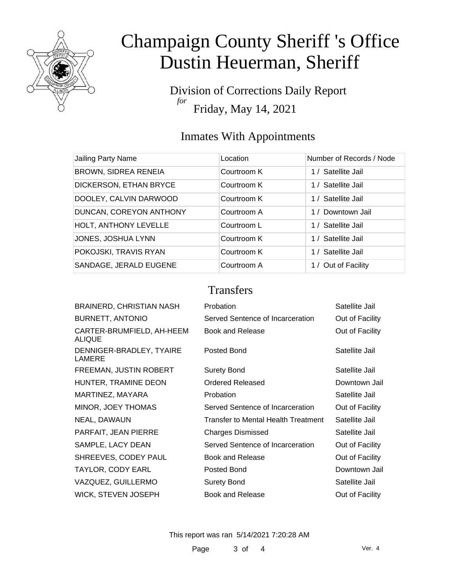

Division of Corrections Daily Report *for* Friday, May 14, 2021

### Inmates With Appointments

| Jailing Party Name          | Location    | Number of Records / Node |
|-----------------------------|-------------|--------------------------|
|                             |             |                          |
| <b>BROWN, SIDREA RENEIA</b> | Courtroom K | 1 / Satellite Jail       |
| DICKERSON, ETHAN BRYCE      | Courtroom K | 1 / Satellite Jail       |
| DOOLEY, CALVIN DARWOOD      | Courtroom K | 1 / Satellite Jail       |
| DUNCAN, COREYON ANTHONY     | Courtroom A | 1 / Downtown Jail        |
| HOLT, ANTHONY LEVELLE       | Courtroom L | 1 / Satellite Jail       |
| JONES, JOSHUA LYNN          | Courtroom K | 1 / Satellite Jail       |
| POKOJSKI, TRAVIS RYAN       | Courtroom K | 1 / Satellite Jail       |
| SANDAGE, JERALD EUGENE      | Courtroom A | 1 / Out of Facility      |

### **Transfers**

| <b>BRAINERD, CHRISTIAN NASH</b>     | Probation                           | Satellite Jail  |
|-------------------------------------|-------------------------------------|-----------------|
| <b>BURNETT, ANTONIO</b>             | Served Sentence of Incarceration    | Out of Facility |
| CARTER-BRUMFIELD, AH-HEEM<br>ALIQUE | Book and Release                    | Out of Facility |
| DENNIGER-BRADLEY, TYAIRE<br>LAMERE  | Posted Bond                         | Satellite Jail  |
| FREEMAN, JUSTIN ROBERT              | <b>Surety Bond</b>                  | Satellite Jail  |
| HUNTER, TRAMINE DEON                | Ordered Released                    | Downtown Jail   |
| MARTINEZ, MAYARA                    | Probation                           | Satellite Jail  |
| MINOR, JOEY THOMAS                  | Served Sentence of Incarceration    | Out of Facility |
| NEAL, DAWAUN                        | Transfer to Mental Health Treatment | Satellite Jail  |
| PARFAIT, JEAN PIERRE                | <b>Charges Dismissed</b>            | Satellite Jail  |
| SAMPLE, LACY DEAN                   | Served Sentence of Incarceration    | Out of Facility |
| SHREEVES, CODEY PAUL                | <b>Book and Release</b>             | Out of Facility |
| TAYLOR, CODY EARL                   | Posted Bond                         | Downtown Jail   |
| VAZQUEZ, GUILLERMO                  | <b>Surety Bond</b>                  | Satellite Jail  |
| WICK, STEVEN JOSEPH                 | <b>Book and Release</b>             | Out of Facility |